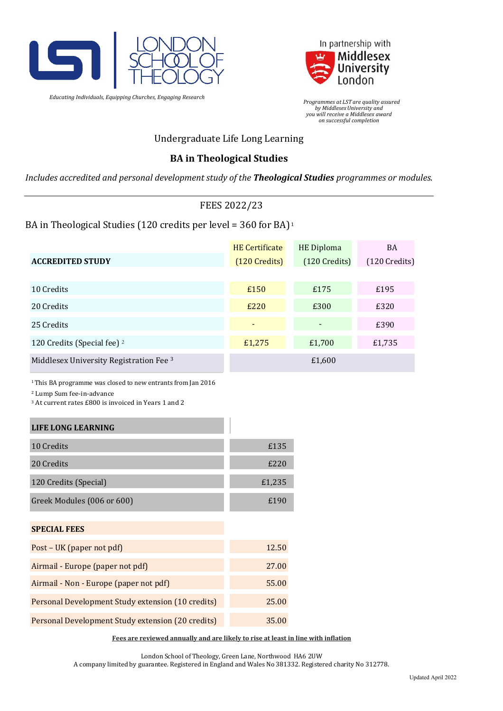

*Educating Individuals, Equipping Churches, Engaging Research*



 *Programmes at LST are quality assured by MiddlesexUniversity and you will receive a Middlesex award on successful completion*

## Undergraduate Life Long Learning

### **BA in Theological Studies**

*Includes accredited and personal development study of the Theological Studies programmes or modules.*

### FEES 2022/23

### BA in Theological Studies (120 credits per level = 360 for BA)<sup>1</sup>

|                                         | <b>HE</b> Certificate | <b>HE Diploma</b> | <b>BA</b>       |
|-----------------------------------------|-----------------------|-------------------|-----------------|
| <b>ACCREDITED STUDY</b>                 | $(120$ Credits)       | $(120$ Credits)   | $(120$ Credits) |
|                                         |                       |                   |                 |
| 10 Credits                              | £150                  | £175              | £195            |
| 20 Credits                              | £220                  | £300              | £320            |
| 25 Credits                              | ۰                     |                   | £390            |
| 120 Credits (Special fee) <sup>2</sup>  | £1,275                | £1,700            | £1,735          |
| Middlesex University Registration Fee 3 |                       | £1,600            |                 |

1This BA programme was closed to new entrants from Jan 2016

<sup>2</sup> Lump Sum fee-in-advance

<sup>3</sup> At current rates £800 is invoiced in Years 1 and 2

| <b>LIFE LONG LEARNING</b>                         |        |
|---------------------------------------------------|--------|
| 10 Credits                                        | £135   |
| 20 Credits                                        | £220   |
| 120 Credits (Special)                             | £1,235 |
| Greek Modules (006 or 600)                        | £190   |
| <b>SPECIAL FEES</b>                               |        |
| Post – UK (paper not pdf)                         | 12.50  |
| Airmail - Europe (paper not pdf)                  | 27.00  |
| Airmail - Non - Europe (paper not pdf)            | 55.00  |
| Personal Development Study extension (10 credits) | 25.00  |
| Personal Development Study extension (20 credits) | 35.00  |

**Fees are reviewed annually and are likely to rise at least in line with inflation**

London School of Theology, Green Lane, Northwood HA6 2UW

A company limited by guarantee. Registered in England and Wales No 381332. Registered charity No 312778.